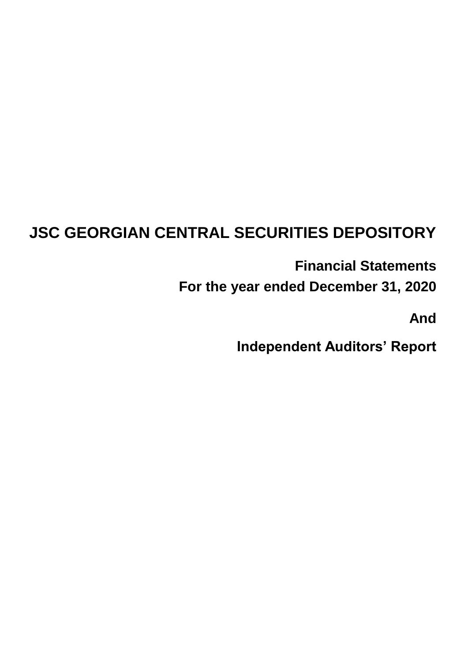# **JSC GEORGIAN CENTRAL SECURITIES DEPOSITORY**

**Financial Statements**

**For the year ended December 31, 2020**

**And**

**Independent Auditors' Report**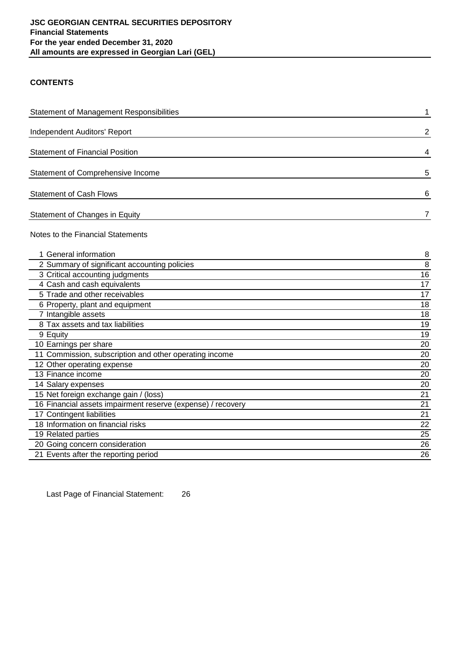## **CONTENTS**

| <b>Statement of Management Responsibilities</b>             | 1               |
|-------------------------------------------------------------|-----------------|
| Independent Auditors' Report                                | $\overline{2}$  |
| <b>Statement of Financial Position</b>                      | 4               |
| Statement of Comprehensive Income                           | 5               |
| <b>Statement of Cash Flows</b>                              | 6               |
| Statement of Changes in Equity                              | $\overline{7}$  |
| Notes to the Financial Statements                           |                 |
| 1 General information                                       | 8               |
| 2 Summary of significant accounting policies                | 8               |
| 3 Critical accounting judgments                             | 16              |
| 4 Cash and cash equivalents                                 | 17              |
| 5 Trade and other receivables                               | 17              |
| 6 Property, plant and equipment                             | 18              |
| 7 Intangible assets                                         | 18              |
| 8 Tax assets and tax liabilities                            | 19              |
| 9 Equity                                                    | 19              |
| 10 Earnings per share                                       | 20              |
| 11 Commission, subscription and other operating income      | 20              |
| 12 Other operating expense                                  | 20              |
| 13 Finance income                                           | 20              |
| 14 Salary expenses                                          | 20              |
| 15 Net foreign exchange gain / (loss)                       | 21              |
| 16 Financial assets impairment reserve (expense) / recovery | 21              |
| 17 Contingent liabilities                                   | 21              |
| 18 Information on financial risks                           | $\overline{22}$ |
| 19 Related parties                                          | $\overline{25}$ |
| 20 Going concern consideration                              | 26              |
| 21 Events after the reporting period                        | 26              |

Last Page of Financial Statement: 26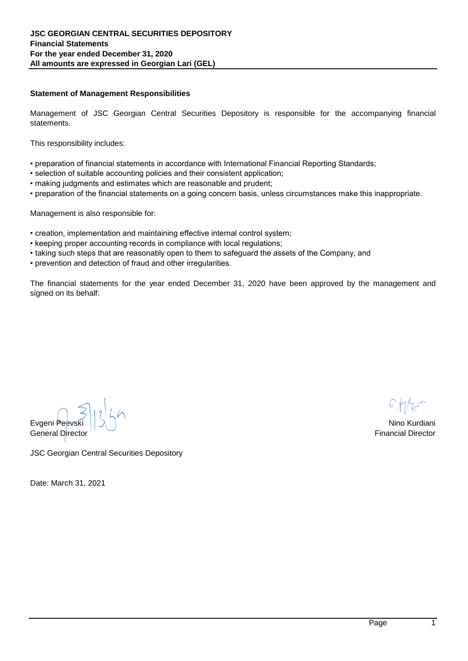## **Statement of Management Responsibilities**

Management of JSC Georgian Central Securities Depository is responsible for the accompanying financial statements.

This responsibility includes:

- preparation of financial statements in accordance with International Financial Reporting Standards;
- selection of suitable accounting policies and their consistent application;
- making judgments and estimates which are reasonable and prudent;
- preparation of the financial statements on a going concern basis, unless circumstances make this inappropriate.

Management is also responsible for:

- creation, implementation and maintaining effective internal control system;
- keeping proper accounting records in compliance with local regulations;
- taking such steps that are reasonably open to them to safeguard the assets of the Company, and
- prevention and detection of fraud and other irregularities.

The financial statements for the year ended December 31, 2020 have been approved by the management and signed on its behalf:

Evgeni Peevski  $\bigcup_{n=1}^{\infty}$ General Director Financial Director **Financial Director** Financial Director **Financial Director** 

JSC Georgian Central Securities Depository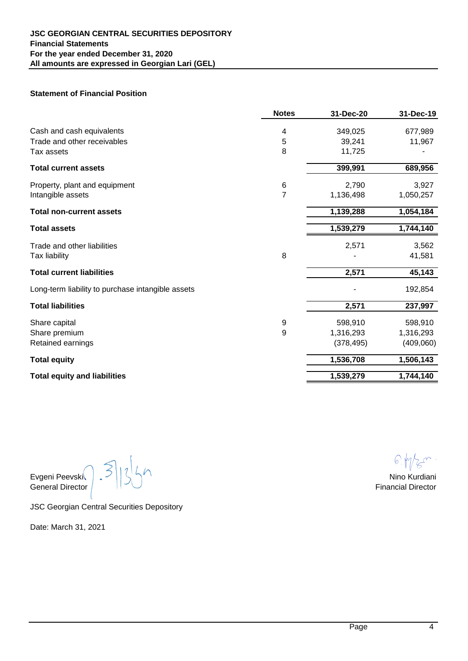

Moore Abc, LLC 6 Marjanishvili Street 0102, Tbilisi, Georgia

T +995 32 2 000 123 E info@moore.ge

www.moore-georgia.ge

## **INDEPENDENT AUDITORS' REPORT JSC Georgian Central Securities Depository**

## *Qualified opinion*

We have audited the financial statements of JSC Georgian Central Securities Depository (the "Company") which comprise the statement of financial position as of December 31, 2020 and the statement of comprehensive income, statement of cash flows and statement of changes in equtiy for the period then ended, and notes to the financial statements, including a summary of significant accounting policies.

In our opinion,except for the effects of the matters described in the Basis for Qualified Opinion section of our report, the accompanying financial statements present fairly, in all material respects the financial position of the Company as of December 31, 2020 and of its financial performance and its cash flows for the year then ended in accordance with International Financial Reporting Standards (IFRS).

## *Basis for Qualified Opinion*

In 2003 intangible assets and property, plant and equipment were contributed into the Company's equity. The assets were recognized at estimated value, which comprised GEL 85,000. We were unable to obtain reasonable assurance in order to confirm the equity increase by the mentioned amount, therefore our opinion on the financial statements as of December 31, 2020 is modified due to the possible effect of this matter on current year and corresponding figures.

We conducted our audit in accordance with International Standards on Auditing (ISAs). Our responsibilities under those standards are further described in the Auditor's Responsibilities for the Audit of the Financial Statements section of our report. We are independent of the Company in accordance with the International Ethics Standards Board for Accountants' Code of Ethics for Professional Accountants (IESBA Code) together with the ethical requirements that are relevant to our audit of the financial statements in Georgia; and we have fulfilled our other ethical responsibilities in accordance with these requirements and the IESBA Code. We believe that the audit evidence we have obtained is sufficient and appropriate to provide a basis for our opinion.

## *Responsibilities of Management and Those Charged with Governance for the Financial Statements*

Management is responsible for the preparation and fair presentation of the financial statements in accordance with International Financial Reporting Standards (IFRS), and for such internal control as management determines is necessary to enable the preparation of financials tatements that are free from material misstatement, whether due to fraud or error.

In preparing the financial statements, management is responsible for assessing the Company's ability to continue as a going concern, disclosing, as applicable, matters related to going concern and using the going concern basis of accounting unless management either intends to liquidate the Company or to cease operations, or has no realistic alternative but to do so.

Those charged with governance are responsible for overseeing the Company's financial reporting process.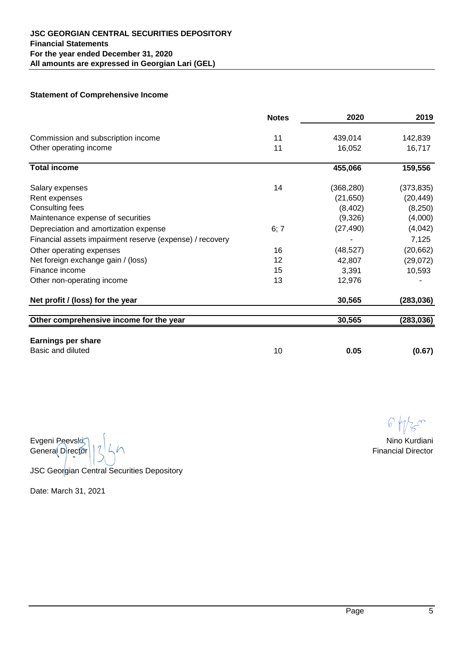## **INDEPENDENT AUDITORS' REPORT (continued)**

## *Auditors' Responsibility for the Audit of the Financial Statements*

Our objectives are to obtain reasonable assurance about whether the financial statements as a whole are free from material misstatement, whether due to fraud or error, and to issue an auditor's report that includes our opinion. Reasonable assurance is a high level of assurance, but is not a guarantee that an audit conducted in accordance with ISAs will always detect a material misstatement when it exists. Misstatements can arise from fraud or error and are considered material if, individually or in the aggregate, they could reasonably be expected to influence the economic decisions of users taken on the basis of these financial statements.

As part of an audit in accordance with ISAs, we exercise professional judgment and maintain professional skepticism throughout the audit. We also:

• Identify and assess the risks of material misstatement of the financial statements, whether due to fraud or error, design and perform audit procedures responsive to those risks, and obtain audit evidence that is sufficient and appropriate to provide a basis for our opinion. The risk of not detecting a material misstatement resulting from raud is higher than for one resuting from error, as fraud may involve collusion, forgery, intentional ommisiions, misrepresentation, or the override of internal control.

• Obtain an understanding of internal control relevant to the audit in order to design audit procedures that are appropriate in the circumstances, but not for the purpose of expressing an opinion on the effectiveness of the Company's internal control.

• Evaluate the appropriateness of accounting policies used and the reasonableness of accounting estimates and, if any, and related disclosures made by management.

• Conclude on the appropriateness of management's use of the going concern basis of accounting and, based on the audit evidence obtained, whether a material uncertainty exists related to events or conditions that may cast significant doubt on the Company's ability to continue as a going concern. If we conclude that a material uncertainty exists, we are required to draw attention in our auditor's report to the related disclosures in the financial statements or, if such disclosures are inadequate, to modify our opinion. Our conclusions are based on the audit evidence obtained up to the date of our auditor's report. However, future events or conditions may cause the Company to cease to continue as a going concern.

• Evaluate the overall presentation, structure and content of the financial statement, incuding the disclosures, and whether the financial statement represents the underlying transactions and events in a manner that achieves fair presentation.

We communicate with those charged with governance regarding, among other matters, the planned scope and timing of the audit and significant audit findings, including any significant deficiencies in internal control that we identify during our audit.

## **Mikheil Abaiadze / Certified Auditor / Partner**

*Audit Firm Registration Number: SARAS-F-320544 Auditor Registration Number: SARAS-A-865011*

**Date: March 31, 2021 Tbilisi, Georgia**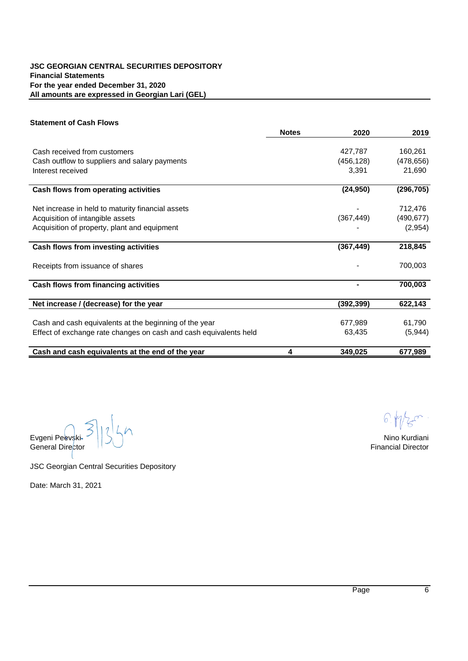# **Statement of Financial Position**

|                                                   | <b>Notes</b>   | 31-Dec-20  | 31-Dec-19 |
|---------------------------------------------------|----------------|------------|-----------|
| Cash and cash equivalents                         | 4              | 349,025    | 677,989   |
| Trade and other receivables                       | 5              | 39,241     | 11,967    |
| Tax assets                                        | 8              | 11,725     |           |
| <b>Total current assets</b>                       |                | 399,991    | 689,956   |
| Property, plant and equipment                     | 6              | 2,790      | 3,927     |
| Intangible assets                                 | $\overline{7}$ | 1,136,498  | 1,050,257 |
| <b>Total non-current assets</b>                   |                | 1,139,288  | 1,054,184 |
| <b>Total assets</b>                               |                | 1,539,279  | 1,744,140 |
| Trade and other liabilities                       |                | 2,571      | 3,562     |
| Tax liability                                     | 8              |            | 41,581    |
| <b>Total current liabilities</b>                  |                | 2,571      | 45,143    |
| Long-term liability to purchase intangible assets |                |            | 192,854   |
| <b>Total liabilities</b>                          |                | 2,571      | 237,997   |
| Share capital                                     | 9              | 598,910    | 598,910   |
| Share premium                                     | 9              | 1,316,293  | 1,316,293 |
| Retained earnings                                 |                | (378, 495) | (409,060) |
| <b>Total equity</b>                               |                | 1,536,708  | 1,506,143 |
| <b>Total equity and liabilities</b>               |                | 1,539,279  | 1,744,140 |

Evgeni Peevski  $\bigcap_{i=1}^{\infty} \bigcup_{i=1}^{n} \bigcup_{i=1}^{n} \bigcup_{i=1}^{n} \bigcup_{i=1}^{n} \bigcup_{i=1}^{n} \bigcup_{i=1}^{n} \bigcup_{i=1}^{n} \bigcup_{i=1}^{n} \bigcup_{i=1}^{n} \bigcup_{i=1}^{n} \bigcup_{i=1}^{n} \bigcup_{i=1}^{n} \bigcup_{i=1}^{n} \bigcup_{i=1}^{n} \bigcup_{i=1}^{n} \bigcup_{i=1}^{n} \bigcup_{i=1}^{n} \bigcup_{i$ 

JSC Georgian Central Securities Depository

 $6.47$ 

General Director  $\begin{array}{|c|c|c|c|c|}\n\hline\n\end{array}$  Financial Director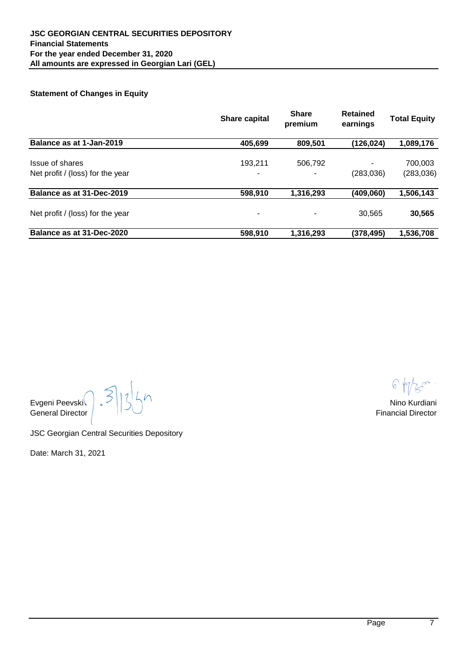## **Statement of Comprehensive Income**

|                                                          | <b>Notes</b> | 2020       | 2019       |
|----------------------------------------------------------|--------------|------------|------------|
| Commission and subscription income                       | 11           | 439,014    | 142,839    |
| Other operating income                                   | 11           | 16,052     | 16,717     |
| <b>Total income</b>                                      |              | 455,066    | 159,556    |
| Salary expenses                                          | 14           | (368, 280) | (373, 835) |
| Rent expenses                                            |              | (21, 650)  | (20, 449)  |
| Consulting fees                                          |              | (8, 402)   | (8,250)    |
| Maintenance expense of securities                        |              | (9,326)    | (4,000)    |
| Depreciation and amortization expense                    | 6; 7         | (27, 490)  | (4,042)    |
| Financial assets impairment reserve (expense) / recovery |              |            | 7,125      |
| Other operating expenses                                 | 16           | (48, 527)  | (20, 662)  |
| Net foreign exchange gain / (loss)                       | 12           | 42,807     | (29,072)   |
| Finance income                                           | 15           | 3,391      | 10,593     |
| Other non-operating income                               | 13           | 12,976     |            |
| Net profit / (loss) for the year                         |              | 30,565     | (283,036)  |
| Other comprehensive income for the year                  |              | 30,565     | (283, 036) |
|                                                          |              |            |            |
| <b>Earnings per share</b><br>Basic and diluted           |              |            |            |
|                                                          | 10           | 0.05       | (0.67)     |

Evgeni Peevski Nino Kurdiani General Director  $\lceil \sqrt[3]{6} \rceil$ 

JSC Georgian Central Securities Depository

 $\bigcirc$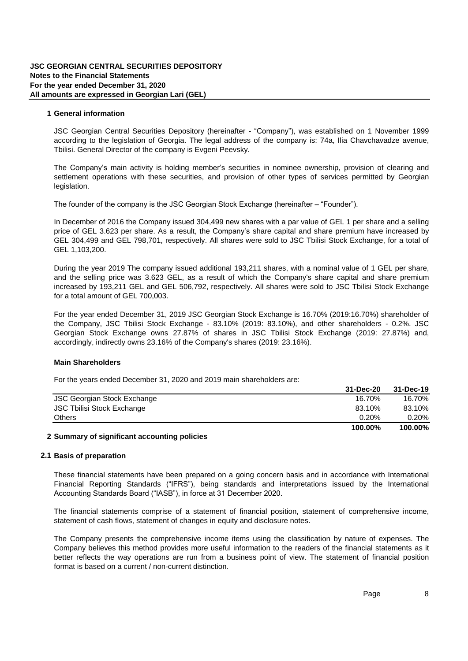## **Statement of Cash Flows**

|                                                                   | <b>Notes</b> | 2020       | 2019       |
|-------------------------------------------------------------------|--------------|------------|------------|
|                                                                   |              |            |            |
| Cash received from customers                                      |              | 427,787    | 160,261    |
| Cash outflow to suppliers and salary payments                     |              | (456, 128) | (478, 656) |
| Interest received                                                 |              | 3,391      | 21,690     |
| Cash flows from operating activities                              |              | (24, 950)  | (296, 705) |
| Net increase in held to maturity financial assets                 |              |            | 712,476    |
| Acquisition of intangible assets                                  |              | (367, 449) | (490, 677) |
| Acquisition of property, plant and equipment                      |              |            | (2,954)    |
| Cash flows from investing activities                              |              | (367, 449) | 218,845    |
| Receipts from issuance of shares                                  |              |            | 700,003    |
| Cash flows from financing activities                              |              |            | 700,003    |
| Net increase / (decrease) for the year                            |              | (392,399)  | 622,143    |
|                                                                   |              |            |            |
| Cash and cash equivalents at the beginning of the year            |              | 677,989    | 61,790     |
| Effect of exchange rate changes on cash and cash equivalents held |              | 63,435     | (5,944)    |
| Cash and cash equivalents at the end of the year                  | 4            | 349,025    | 677,989    |

Evgeni Peevski Vililiya i Nino Kurdiani ili bahasa ku shekara ta ku shekara ta ku shekara ta ku shekara ta ku s General Director Financial Director

JSC Georgian Central Securities Depository

 $6.1$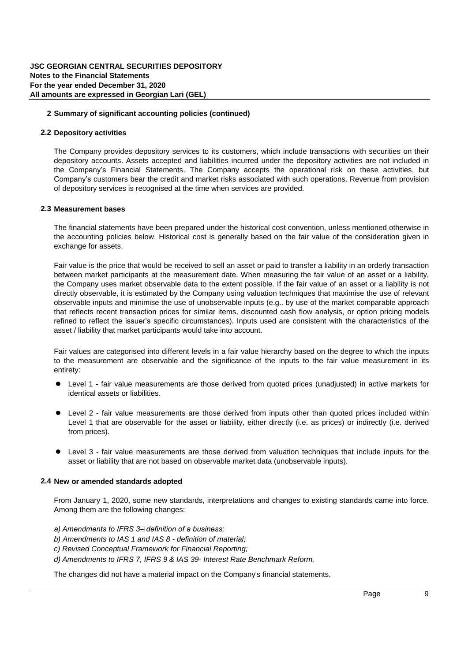# **Statement of Changes in Equity**

|                                                     | <b>Share capital</b> | <b>Share</b><br>premium | <b>Retained</b><br>earnings | <b>Total Equity</b>   |
|-----------------------------------------------------|----------------------|-------------------------|-----------------------------|-----------------------|
| Balance as at 1-Jan-2019                            | 405,699              | 809,501                 | (126, 024)                  | 1,089,176             |
| Issue of shares<br>Net profit / (loss) for the year | 193.211<br>-         | 506,792                 | (283, 036)                  | 700,003<br>(283, 036) |
| Balance as at 31-Dec-2019                           | 598,910              | 1,316,293               | (409,060)                   | 1,506,143             |
| Net profit / (loss) for the year                    | -                    |                         | 30,565                      | 30,565                |
| Balance as at 31-Dec-2020                           | 598,910              | 1,316,293               | (378,495)                   | 1,536,708             |

General Director  $\vert$  Financial Director  $\vert$  Financial Director  $\vert$ 

 $\sqrt{6}$ 

Evgeni Peevski Nino Kurdiani

JSC Georgian Central Securities Depository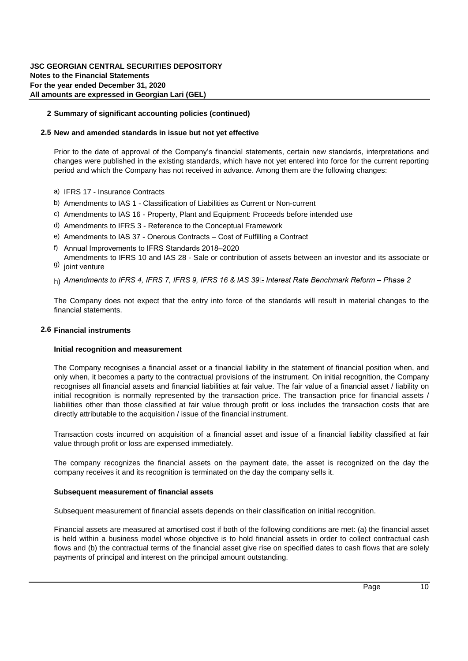#### **1 General information**

JSC Georgian Central Securities Depository (hereinafter - "Company"), was established on 1 November 1999 according to the legislation of Georgia. The legal address of the Company is: 74a, Ilia Chavchavadze avenue, Tbilisi. General Director of the Company is Evgeni Peevski.

The Company's main activity is holding member's securities in nominee ownership, provision of clearing and settlement operations with these securities, and provision of other types of services permitted by Georgian legislation.

The founder of the Company is the JSC Georgian Stock Exchange (hereinafter – "Founder").

In December of 2016 the Company issued 304,499 new shares with a par value of GEL 1 per share and a selling price of GEL 3.623 per share. As a result, the Company's share capital and share premium have increased by GEL 304,499 and GEL 798,701, respectively. All shares were sold to JSC Tbilisi Stock Exchange, for a total of GEL 1,103,200.

During the year 2019 the Company issued additional 193,211 shares, with a nominal value of 1 GEL per share, and the selling price was 3.623 GEL, as a result of which the Company's share capital and share premium increased by 193,211 GEL and GEL 506,792, respectively. All shares were sold to JSC Tbilisi Stock Exchange for a total amount of GEL 700,003.

For the year ended December 31, 2019 JSC Georgian Stock Exchange is 16.70% (2019:16.70%) shareholder of the Company, JSC Tbilisi Stock Exchange - 83.10% (2019: 83.10%), and other shareholders - 0.2%. JSC Georgian Stock Exchange owns 27.87% of shares in JSC Tbilisi Stock Exchange (2019: 27.87%) and, accordingly, indirectly owns 23.16% of the Company's shares (2019: 23.16%).

## **Main Shareholders**

For the years ended December 31, 2020 and 2019 main shareholders are:

|                                    | 31-Dec-20 | 31-Dec-19 |
|------------------------------------|-----------|-----------|
| <b>JSC Georgian Stock Exchange</b> | 16.70%    | 16.70%    |
| JSC Tbilisi Stock Exchange         | 83.10%    | 83.10%    |
| <b>Others</b>                      | 0.20%     | $0.20\%$  |
|                                    | 100.00%   | 100.00%   |

## **2 Summary of significant accounting policies**

## **2.1 Basis of preparation**

These financial statements have been prepared on a going concern basis and in accordance with International Financial Reporting Standards ("IFRS"), being standards and interpretations issued by the International Accounting Standards Board ("IASB"), in force at 31 December 2020.

The financial statements comprise of a statement of financial position, statement of comprehensive income, statement of cash flows, statement of changes in equity and disclosure notes.

The Company presents the comprehensive income items using the classification by nature of expenses. The Company believes this method provides more useful information to the readers of the financial statements as it better reflects the way operations are run from a business point of view. The statement of financial position format is based on a current / non-current distinction.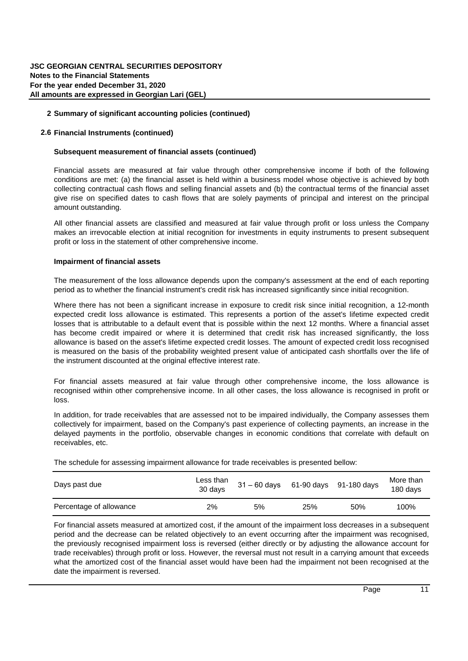#### **2.2 Depository activities**

The Company provides depository services to its customers, which include transactions with securities on their depository accounts. Assets accepted and liabilities incurred under the depository activities are not included in the Company's Financial Statements. The Company accepts the operational risk on these activities, but Company's customers bear the credit and market risks associated with such operations. Revenue from provision of depository services is recognised at the time when services are provided.

#### **2.3 Measurement bases**

The financial statements have been prepared under the historical cost convention, unless mentioned otherwise in the accounting policies below. Historical cost is generally based on the fair value of the consideration given in exchange for assets.

Fair value is the price that would be received to sell an asset or paid to transfer a liability in an orderly transaction between market participants at the measurement date. When measuring the fair value of an asset or a liability, the Company uses market observable data to the extent possible. If the fair value of an asset or a liability is not directly observable, it is estimated by the Company using valuation techniques that maximise the use of relevant observable inputs and minimise the use of unobservable inputs (e.g.. by use of the market comparable approach that reflects recent transaction prices for similar items, discounted cash flow analysis, or option pricing models refined to reflect the issuer's specific circumstances). Inputs used are consistent with the characteristics of the asset / liability that market participants would take into account.

Fair values are categorised into different levels in a fair value hierarchy based on the degree to which the inputs to the measurement are observable and the significance of the inputs to the fair value measurement in its entirety:

- l Level 1 fair value measurements are those derived from quoted prices (unadjusted) in active markets for identical assets or liabilities.
- Level 2 fair value measurements are those derived from inputs other than quoted prices included within Level 1 that are observable for the asset or liability, either directly (i.e. as prices) or indirectly (i.e. derived from prices).
- Level 3 fair value measurements are those derived from valuation techniques that include inputs for the asset or liability that are not based on observable market data (unobservable inputs).

#### **2.4 New or amended standards adopted**

From January 1, 2020, some new standards, interpretations and changes to existing standards came into force. Among them are the following changes:

- *a) Amendments to IFRS 3 – definition of a business;*
- *b) Amendments to IAS 1 and IAS 8 definition of material;*
- *c) Revised Conceptual Framework for Financial Reporting;*
- *d) Amendments to IFRS 7, IFRS 9 & IAS 39 - Interest Rate Benchmark Reform.*

The changes did not have a material impact on the Company's financial statements.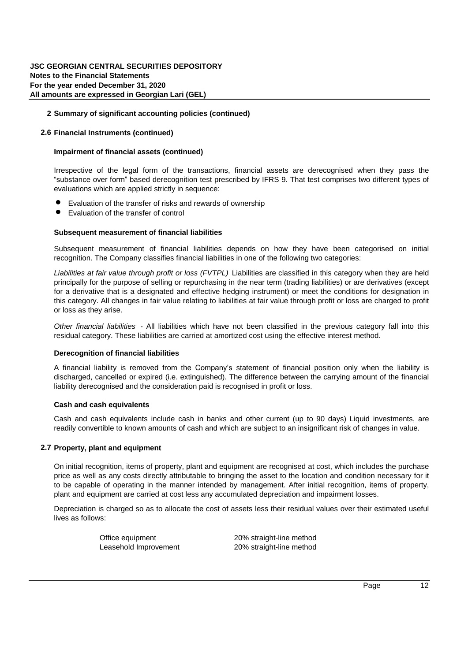#### **2.5 New and amended standards in issue but not yet effective**

Prior to the date of approval of the Company's financial statements, certain new standards, interpretations and changes were published in the existing standards, which have not yet entered into force for the current reporting period and which the Company has not received in advance. Among them are the following changes:

- a) IFRS 17 Insurance Contracts
- b) Amendments to IAS 1 Classification of Liabilities as Current or Non-current
- c) Amendments to IAS 16 Property, Plant and Equipment: Proceeds before intended use
- d) Amendments to IFRS 3 Reference to the Conceptual Framework
- e) Amendments to IAS 37 Onerous Contracts Cost of Fulfilling a Contract
- f) Annual Improvements to IFRS Standards 2018–2020
- <sup>g)</sup> joint venture Amendments to IFRS 10 and IAS 28 - Sale or contribution of assets between an investor and its associate or
- h) Amendments to IFRS 4, IFRS 7, IFRS 9, IFRS 16 & IAS 39⊡ Interest Rate Benchmark Reform Phase 2

The Company does not expect that the entry into force of the standards will result in material changes to the financial statements.

#### **2.6 Financial instruments**

#### **Initial recognition and measurement**

The Company recognises a financial asset or a financial liability in the statement of financial position when, and only when, it becomes a party to the contractual provisions of the instrument. On initial recognition, the Company recognises all financial assets and financial liabilities at fair value. The fair value of a financial asset / liability on initial recognition is normally represented by the transaction price. The transaction price for financial assets / liabilities other than those classified at fair value through profit or loss includes the transaction costs that are directly attributable to the acquisition / issue of the financial instrument.

Transaction costs incurred on acquisition of a financial asset and issue of a financial liability classified at fair value through profit or loss are expensed immediately.

The Company recognizes the financial assets on the payment date, the asset is recognized on the day the Company receives it and its recognition is terminated on the day the Company sells it.

#### **Subsequent measurement of financial assets**

Subsequent measurement of financial assets depends on their classification on initial recognition.

Financial assets are measured at amortised cost if both of the following conditions are met: (a) the financial asset is held within a business model whose objective is to hold financial assets in order to collect contractual cash flows and (b) the contractual terms of the financial asset give rise on specified dates to cash flows that are solely payments of principal and interest on the principal amount outstanding.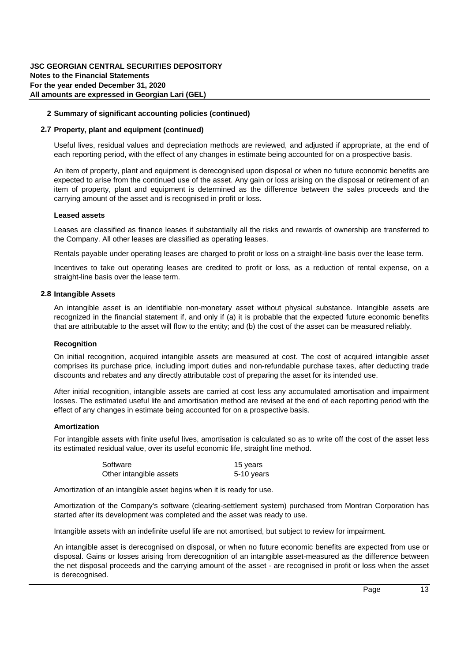## **2.6 Financial Instruments (continued)**

#### **Subsequent measurement of financial assets (continued)**

Financial assets are measured at fair value through other comprehensive income if both of the following conditions are met: (a) the financial asset is held within a business model whose objective is achieved by both collecting contractual cash flows and selling financial assets and (b) the contractual terms of the financial asset give rise on specified dates to cash flows that are solely payments of principal and interest on the principal amount outstanding.

All other financial assets are classified and measured at fair value through profit or loss unless the Company makes an irrevocable election at initial recognition for investments in equity instruments to present subsequent profit or loss in the statement of other comprehensive income.

## **Impairment of financial assets**

The measurement of the loss allowance depends upon the Company's assessment at the end of each reporting period as to whether the financial instrument's credit risk has increased significantly since initial recognition.

Where there has not been a significant increase in exposure to credit risk since initial recognition, a 12-month expected credit loss allowance is estimated. This represents a portion of the asset's lifetime expected credit losses that is attributable to a default event that is possible within the next 12 months. Where a financial asset has become credit impaired or where it is determined that credit risk has increased significantly, the loss allowance is based on the asset's lifetime expected credit losses. The amount of expected credit loss recognised is measured on the basis of the probability weighted present value of anticipated cash shortfalls over the life of the instrument discounted at the original effective interest rate.

For financial assets measured at fair value through other comprehensive income, the loss allowance is recognised within other comprehensive income. In all other cases, the loss allowance is recognised in profit or loss.

In addition, for trade receivables that are assessed not to be impaired individually, the Company assesses them collectively for impairment, based on the Company's past experience of collecting payments, an increase in the delayed payments in the portfolio, observable changes in economic conditions that correlate with default on receivables, etc.

The schedule for assessing impairment allowance for trade receivables is presented bellow:

| Days past due           | Less than<br>30 days | 31 - 60 days 61-90 days 91-180 days |     |     | More than<br>180 days |
|-------------------------|----------------------|-------------------------------------|-----|-----|-----------------------|
| Percentage of allowance | 2%                   | 5%                                  | 25% | 50% | 100%                  |

For financial assets measured at amortized cost, if the amount of the impairment loss decreases in a subsequent period and the decrease can be related objectively to an event occurring after the impairment was recognised, the previously recognised impairment loss is reversed (either directly or by adjusting the allowance account for trade receivables) through profit or loss. However, the reversal must not result in a carrying amount that exceeds what the amortized cost of the financial asset would have been had the impairment not been recognised at the date the impairment is reversed.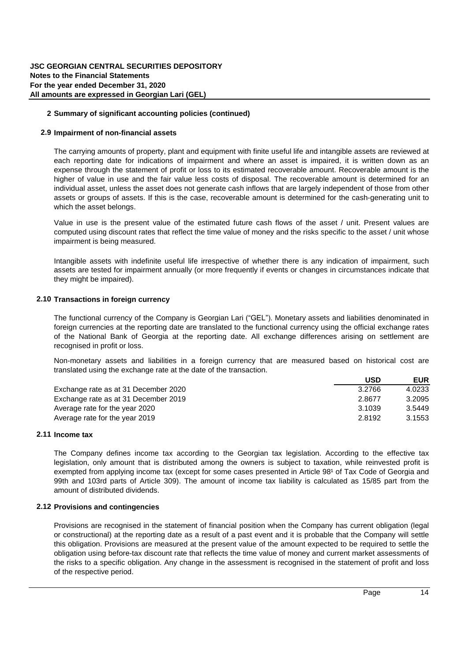#### **2.6 Financial Instruments (continued)**

#### **Impairment of financial assets (continued)**

Irrespective of the legal form of the transactions, financial assets are derecognised when they pass the "substance over form" based derecognition test prescribed by IFRS 9. That test comprises two different types of evaluations which are applied strictly in sequence:

- Evaluation of the transfer of risks and rewards of ownership
- Evaluation of the transfer of control

#### **Subsequent measurement of financial liabilities**

Subsequent measurement of financial liabilities depends on how they have been categorised on initial recognition. The Company classifies financial liabilities in one of the following two categories:

*Liabilities at fair value through profit or loss (FVTPL)* Liabilities are classified in this category when they are held principally for the purpose of selling or repurchasing in the near term (trading liabilities) or are derivatives (except for a derivative that is a designated and effective hedging instrument) or meet the conditions for designation in this category. All changes in fair value relating to liabilities at fair value through profit or loss are charged to profit or loss as they arise.

*Other financial liabilities* - All liabilities which have not been classified in the previous category fall into this residual category. These liabilities are carried at amortized cost using the effective interest method.

#### **Derecognition of financial liabilities**

A financial liability is removed from the Company's statement of financial position only when the liability is discharged, cancelled or expired (i.e. extinguished). The difference between the carrying amount of the financial liability derecognised and the consideration paid is recognised in profit or loss.

#### **Cash and cash equivalents**

Cash and cash equivalents include cash in banks and other current (up to 90 days) Liquid investments, are readily convertible to known amounts of cash and which are subject to an insignificant risk of changes in value.

#### **2.7 Property, plant and equipment**

On initial recognition, items of property, plant and equipment are recognised at cost, which includes the purchase price as well as any costs directly attributable to bringing the asset to the location and condition necessary for it to be capable of operating in the manner intended by management. After initial recognition, items of property, plant and equipment are carried at cost less any accumulated depreciation and impairment losses.

Depreciation is charged so as to allocate the cost of assets less their residual values over their estimated useful lives as follows:

Office equipment 20% straight-line method Leasehold Improvement 20% straight-line method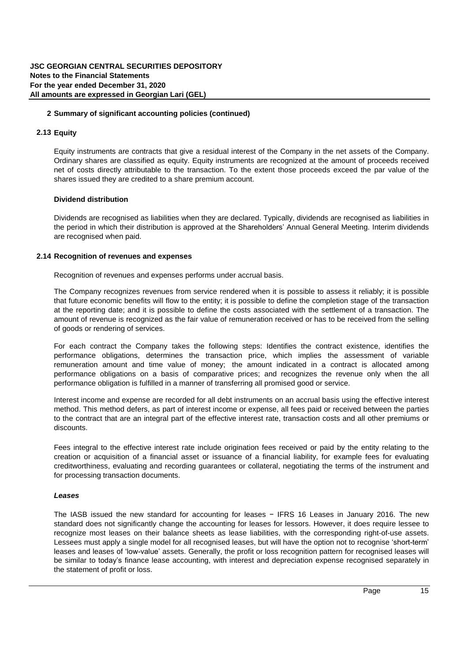#### **2.7 Property, plant and equipment (continued)**

Useful lives, residual values and depreciation methods are reviewed, and adjusted if appropriate, at the end of each reporting period, with the effect of any changes in estimate being accounted for on a prospective basis.

An item of property, plant and equipment is derecognised upon disposal or when no future economic benefits are expected to arise from the continued use of the asset. Any gain or loss arising on the disposal or retirement of an item of property, plant and equipment is determined as the difference between the sales proceeds and the carrying amount of the asset and is recognised in profit or loss.

#### **Leased assets**

Leases are classified as finance leases if substantially all the risks and rewards of ownership are transferred to the Company. All other leases are classified as operating leases.

Rentals payable under operating leases are charged to profit or loss on a straight-line basis over the lease term.

Incentives to take out operating leases are credited to profit or loss, as a reduction of rental expense, on a straight-line basis over the lease term.

#### **2.8 Intangible Assets**

An intangible asset is an identifiable non-monetary asset without physical substance. Intangible assets are recognized in the financial statement if, and only if (a) it is probable that the expected future economic benefits that are attributable to the asset will flow to the entity; and (b) the cost of the asset can be measured reliably.

## **Recognition**

On initial recognition, acquired intangible assets are measured at cost. The cost of acquired intangible asset comprises its purchase price, including import duties and non-refundable purchase taxes, after deducting trade discounts and rebates and any directly attributable cost of preparing the asset for its intended use.

After initial recognition, intangible assets are carried at cost less any accumulated amortisation and impairment losses. The estimated useful life and amortisation method are revised at the end of each reporting period with the effect of any changes in estimate being accounted for on a prospective basis.

#### **Amortization**

For intangible assets with finite useful lives, amortisation is calculated so as to write off the cost of the asset less its estimated residual value, over its useful economic life, straight line method.

| Software                | 15 years   |
|-------------------------|------------|
| Other intangible assets | 5-10 years |

Amortization of an intangible asset begins when it is ready for use.

Amortization of the Company's software (clearing-settlement system) purchased from Montran Corporation has started after its development was completed and the asset was ready to use.

Intangible assets with an indefinite useful life are not amortised, but subject to review for impairment.

An intangible asset is derecognised on disposal, or when no future economic benefits are expected from use or disposal. Gains or losses arising from derecognition of an intangible asset-measured as the difference between the net disposal proceeds and the carrying amount of the asset - are recognised in profit or loss when the asset is derecognised.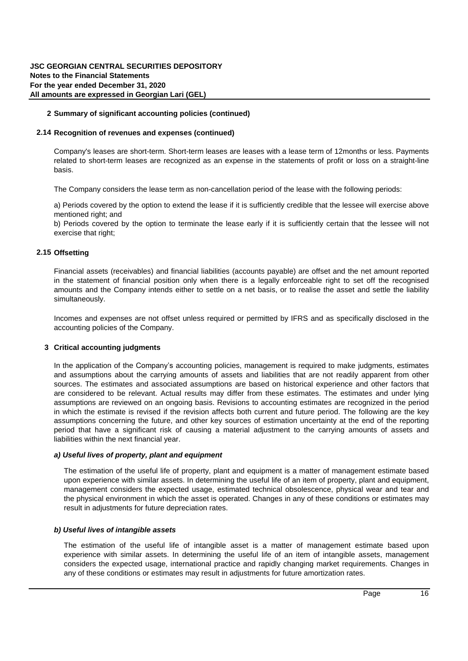#### **2.9 Impairment of non-financial assets**

The carrying amounts of property, plant and equipment with finite useful life and intangible assets are reviewed at each reporting date for indications of impairment and where an asset is impaired, it is written down as an expense through the statement of profit or loss to its estimated recoverable amount. Recoverable amount is the higher of value in use and the fair value less costs of disposal. The recoverable amount is determined for an individual asset, unless the asset does not generate cash inflows that are largely independent of those from other assets or groups of assets. If this is the case, recoverable amount is determined for the cash-generating unit to which the asset belongs.

Value in use is the present value of the estimated future cash flows of the asset / unit. Present values are computed using discount rates that reflect the time value of money and the risks specific to the asset / unit whose impairment is being measured.

Intangible assets with indefinite useful life irrespective of whether there is any indication of impairment, such assets are tested for impairment annually (or more frequently if events or changes in circumstances indicate that they might be impaired).

## **2.10 Transactions in foreign currency**

The functional currency of the Company is Georgian Lari ("GEL"). Monetary assets and liabilities denominated in foreign currencies at the reporting date are translated to the functional currency using the official exchange rates of the National Bank of Georgia at the reporting date. All exchange differences arising on settlement are recognised in profit or loss.

Non-monetary assets and liabilities in a foreign currency that are measured based on historical cost are translated using the exchange rate at the date of the transaction.

|                                      | USD    | <b>EUR</b> |
|--------------------------------------|--------|------------|
| Exchange rate as at 31 December 2020 | 3.2766 | 4.0233     |
| Exchange rate as at 31 December 2019 | 2.8677 | 3.2095     |
| Average rate for the year 2020       | 3.1039 | 3.5449     |
| Average rate for the year 2019       | 2.8192 | 3.1553     |

#### **2.11 Income tax**

The Company defines income tax according to the Georgian tax legislation. According to the effective tax legislation, only amount that is distributed among the owners is subject to taxation, while reinvested profit is exempted from applying income tax (except for some cases presented in Article 98<sup>1</sup> of Tax Code of Georgia and 99th and 103rd parts of Article 309). The amount of income tax liability is calculated as 15/85 part from the amount of distributed dividends.

#### **2.12 Provisions and contingencies**

Provisions are recognised in the statement of financial position when the Company has current obligation (legal or constructional) at the reporting date as a result of a past event and it is probable that the Company will settle this obligation. Provisions are measured at the present value of the amount expected to be required to settle the obligation using before-tax discount rate that reflects the time value of money and current market assessments of the risks to a specific obligation. Any change in the assessment is recognised in the statement of profit and loss of the respective period.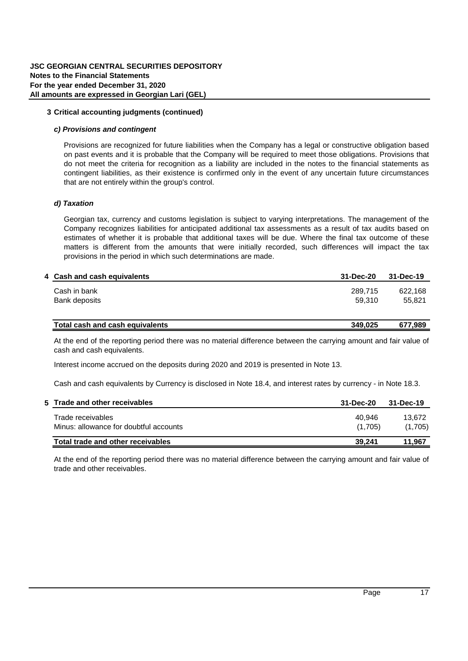## **2.13 Equity**

Equity instruments are contracts that give a residual interest of the Company in the net assets of the Company. Ordinary shares are classified as equity. Equity instruments are recognized at the amount of proceeds received net of costs directly attributable to the transaction. To the extent those proceeds exceed the par value of the shares issued they are credited to a share premium account.

## **Dividend distribution**

Dividends are recognised as liabilities when they are declared. Typically, dividends are recognised as liabilities in the period in which their distribution is approved at the Shareholders' Annual General Meeting. Interim dividends are recognised when paid.

## **2.14 Recognition of revenues and expenses**

Recognition of revenues and expenses performs under accrual basis.

The Company recognizes revenues from service rendered when it is possible to assess it reliably; it is possible that future economic benefits will flow to the entity; it is possible to define the completion stage of the transaction at the reporting date; and it is possible to define the costs associated with the settlement of a transaction. The amount of revenue is recognized as the fair value of remuneration received or has to be received from the selling of goods or rendering of services.

For each contract the Company takes the following steps: Identifies the contract existence, identifies the performance obligations, determines the transaction price, which implies the assessment of variable remuneration amount and time value of money; the amount indicated in a contract is allocated among performance obligations on a basis of comparative prices; and recognizes the revenue only when the all performance obligation is fulfilled in a manner of transferring all promised good or service.

Interest income and expense are recorded for all debt instruments on an accrual basis using the effective interest method. This method defers, as part of interest income or expense, all fees paid or received between the parties to the contract that are an integral part of the effective interest rate, transaction costs and all other premiums or discounts.

Fees integral to the effective interest rate include origination fees received or paid by the entity relating to the creation or acquisition of a financial asset or issuance of a financial liability, for example fees for evaluating creditworthiness, evaluating and recording guarantees or collateral, negotiating the terms of the instrument and for processing transaction documents.

## *Leases*

The IASB issued the new standard for accounting for leases − IFRS 16 Leases in January 2016. The new standard does not significantly change the accounting for leases for lessors. However, it does require lessee to recognize most leases on their balance sheets as lease liabilities, with the corresponding right-of-use assets. Lessees must apply a single model for all recognised leases, but will have the option not to recognise 'short-term' leases and leases of 'low-value' assets. Generally, the profit or loss recognition pattern for recognised leases will be similar to today's finance lease accounting, with interest and depreciation expense recognised separately in the statement of profit or loss.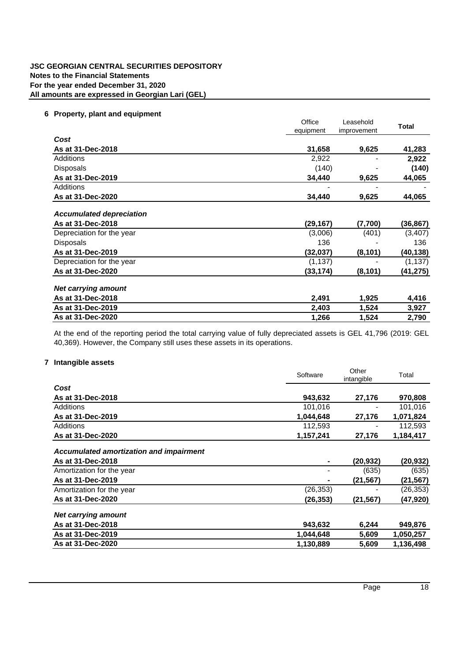#### **2.14 Recognition of revenues and expenses (continued)**

Company's leases are short-term. Short-term leases are leases with a lease term of 12months or less. Payments related to short-term leases are recognized as an expense in the statements of profit or loss on a straight-line basis.

The Company considers the lease term as non-cancellation period of the lease with the following periods:

a) Periods covered by the option to extend the lease if it is sufficiently credible that the lessee will exercise above mentioned right; and

b) Periods covered by the option to terminate the lease early if it is sufficiently certain that the lessee will not exercise that right;

#### **2.15 Offsetting**

Financial assets (receivables) and financial liabilities (accounts payable) are offset and the net amount reported in the statement of financial position only when there is a legally enforceable right to set off the recognised amounts and the Company intends either to settle on a net basis, or to realise the asset and settle the liability simultaneously.

Incomes and expenses are not offset unless required or permitted by IFRS and as specifically disclosed in the accounting policies of the Company.

#### **3 Critical accounting judgments**

In the application of the Company's accounting policies, management is required to make judgments, estimates and assumptions about the carrying amounts of assets and liabilities that are not readily apparent from other sources. The estimates and associated assumptions are based on historical experience and other factors that are considered to be relevant. Actual results may differ from these estimates. The estimates and under lying assumptions are reviewed on an ongoing basis. Revisions to accounting estimates are recognized in the period in which the estimate is revised if the revision affects both current and future period. The following are the key assumptions concerning the future, and other key sources of estimation uncertainty at the end of the reporting period that have a significant risk of causing a material adjustment to the carrying amounts of assets and liabilities within the next financial year.

#### *a) Useful lives of property, plant and equipment*

The estimation of the useful life of property, plant and equipment is a matter of management estimate based upon experience with similar assets. In determining the useful life of an item of property, plant and equipment, management considers the expected usage, estimated technical obsolescence, physical wear and tear and the physical environment in which the asset is operated. Changes in any of these conditions or estimates may result in adjustments for future depreciation rates.

#### *b) Useful lives of intangible assets*

The estimation of the useful life of intangible asset is a matter of management estimate based upon experience with similar assets. In determining the useful life of an item of intangible assets, management considers the expected usage, international practice and rapidly changing market requirements. Changes in any of these conditions or estimates may result in adjustments for future amortization rates.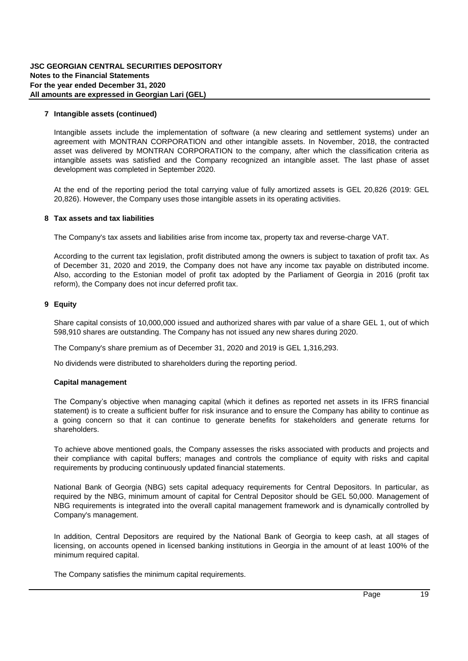## **3 Critical accounting judgments (continued)**

#### *c) Provisions and contingent*

Provisions are recognized for future liabilities when the Company has a legal or constructive obligation based on past events and it is probable that the Company will be required to meet those obligations. Provisions that do not meet the criteria for recognition as a liability are included in the notes to the financial statements as contingent liabilities, as their existence is confirmed only in the event of any uncertain future circumstances that are not entirely within the group's control.

## *d) Taxation*

Georgian tax, currency and customs legislation is subject to varying interpretations. The management of the Company recognizes liabilities for anticipated additional tax assessments as a result of tax audits based on estimates of whether it is probable that additional taxes will be due. Where the final tax outcome of these matters is different from the amounts that were initially recorded, such differences will impact the tax provisions in the period in which such determinations are made.

#### **4 Cash and cash equivalents 31-Dec-20 31-Dec-19**

| Cash in bank  | 289.715 | 622.168 |
|---------------|---------|---------|
| Bank deposits | 59.310  | 55.821  |
|               |         |         |

| Total cash and cash equivalents | 349.025 | 677.989 |
|---------------------------------|---------|---------|
|                                 |         |         |

At the end of the reporting period there was no material difference between the carrying amount and fair value of cash and cash equivalents.

Interest income accrued on the deposits during 2020 and 2019 is presented in Note 13.

Cash and cash equivalents by Currency is disclosed in Note 18.4, and interest rates by currency - in Note 18.3.

| 5 Trade and other receivables          | 31-Dec-20 | 31-Dec-19 |
|----------------------------------------|-----------|-----------|
| Trade receivables                      | 40.946    | 13.672    |
| Minus: allowance for doubtful accounts | (1.705)   | (1,705)   |
| Total trade and other receivables      | 39.241    | 11.967    |

At the end of the reporting period there was no material difference between the carrying amount and fair value of trade and other receivables.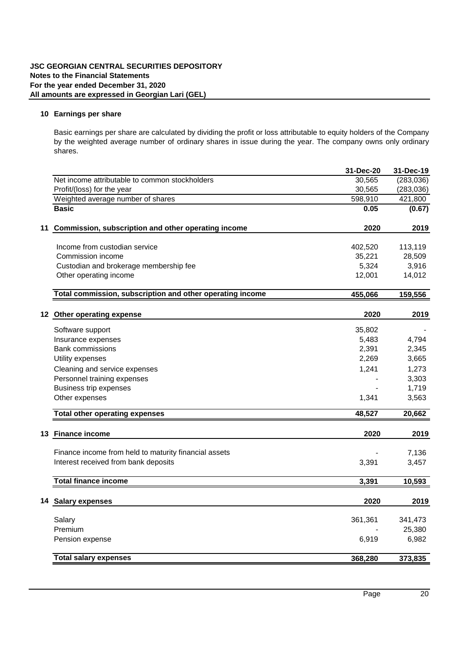## **6 Property, plant and equipment**

|                                 | Office    | Leasehold   | <b>Total</b> |
|---------------------------------|-----------|-------------|--------------|
|                                 | equipment | improvement |              |
| Cost                            |           |             |              |
| As at 31-Dec-2018               | 31,658    | 9,625       | 41,283       |
| Additions                       | 2,922     |             | 2,922        |
| <b>Disposals</b>                | (140)     |             | (140)        |
| As at 31-Dec-2019               | 34,440    | 9,625       | 44,065       |
| <b>Additions</b>                |           |             |              |
| As at 31-Dec-2020               | 34,440    | 9,625       | 44,065       |
| <b>Accumulated depreciation</b> |           |             |              |
| As at 31-Dec-2018               | (29, 167) | (7,700)     | (36,867)     |
| Depreciation for the year       | (3,006)   | (401)       | (3, 407)     |
| Disposals                       | 136       |             | 136          |
| As at 31-Dec-2019               | (32,037)  | (8, 101)    | (40,138)     |
| Depreciation for the year       | (1, 137)  |             | (1, 137)     |
| As at 31-Dec-2020               | (33,174)  | (8, 101)    | (41,275)     |
| <b>Net carrying amount</b>      |           |             |              |
| As at 31-Dec-2018               | 2,491     | 1,925       | 4,416        |
| As at 31-Dec-2019               | 2,403     | 1,524       | 3,927        |
| As at 31-Dec-2020               | 1,266     | 1,524       | 2,790        |

At the end of the reporting period the total carrying value of fully depreciated assets is GEL 41,796 (2019: GEL 40,369). However, the Company still uses these assets in its operations.

## **7 Intangible assets**

|                                                | Software  | Other<br>intangible | Total     |
|------------------------------------------------|-----------|---------------------|-----------|
| Cost                                           |           |                     |           |
| As at 31-Dec-2018                              | 943,632   | 27.176              | 970,808   |
| Additions                                      | 101,016   |                     | 101,016   |
| As at 31-Dec-2019                              | 1,044,648 | 27,176              | 1,071,824 |
| Additions                                      | 112,593   |                     | 112,593   |
| As at 31-Dec-2020                              | 1,157,241 | 27,176              | 1,184,417 |
| <b>Accumulated amortization and impairment</b> |           |                     |           |
| As at 31-Dec-2018                              |           | (20, 932)           | (20, 932) |
| Amortization for the year                      |           | (635)               | (635)     |
| As at 31-Dec-2019                              |           | (21,567)            | (21, 567) |
| Amortization for the year                      | (26,353)  |                     | (26, 353) |
| As at 31-Dec-2020                              | (26, 353) | (21,567)            | (47,920)  |
| <b>Net carrying amount</b>                     |           |                     |           |
| As at 31-Dec-2018                              | 943,632   | 6,244               | 949,876   |
| As at 31-Dec-2019                              | 1,044,648 | 5,609               | 1,050,257 |
| As at 31-Dec-2020                              | 1,130,889 | 5,609               | 1,136,498 |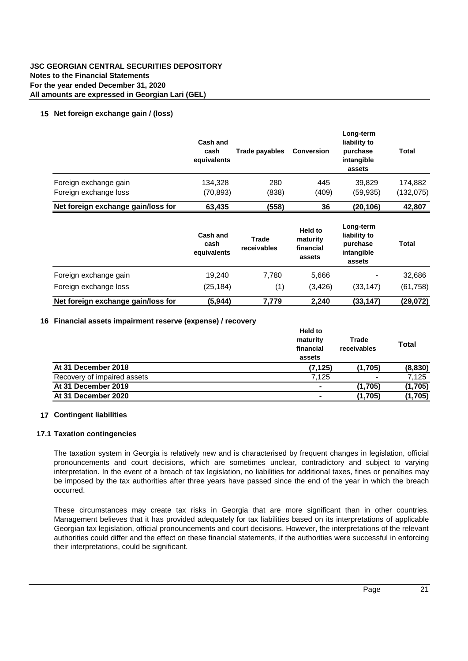#### **7 Intangible assets (continued)**

Intangible assets include the implementation of software (a new clearing and settlement systems) under an agreement with MONTRAN CORPORATION and other intangible assets. In November, 2018, the contracted asset was delivered by MONTRAN CORPORATION to the Company, after which the classification criteria as intangible assets was satisfied and the Company recognized an intangible asset. The last phase of asset development was completed in September 2020.

At the end of the reporting period the total carrying value of fully amortized assets is GEL 20,826 (2019: GEL 20,826). However, the Company uses those intangible assets in its operating activities.

## **8 Tax assets and tax liabilities**

The Company's tax assets and liabilities arise from income tax, property tax and reverse-charge VAT.

According to the current tax legislation, profit distributed among the owners is subject to taxation of profit tax. As of December 31, 2020 and 2019, the Company does not have any income tax payable on distributed income. Also, according to the Estonian model of profit tax adopted by the Parliament of Georgia in 2016 (profit tax reform), the Company does not incur deferred profit tax.

#### **9 Equity**

Share capital consists of 10,000,000 issued and authorized shares with par value of a share GEL 1, out of which 598,910 shares are outstanding. The Company has not issued any new shares during 2020.

The Company's share premium as of December 31, 2020 and 2019 is GEL 1,316,293.

No dividends were distributed to shareholders during the reporting period.

#### **Capital management**

The Company's objective when managing capital (which it defines as reported net assets in its IFRS financial statement) is to create a sufficient buffer for risk insurance and to ensure the Company has ability to continue as a going concern so that it can continue to generate benefits for stakeholders and generate returns for shareholders.

To achieve above mentioned goals, the Company assesses the risks associated with products and projects and their compliance with capital buffers; manages and controls the compliance of equity with risks and capital requirements by producing continuously updated financial statements.

National Bank of Georgia (NBG) sets capital adequacy requirements for Central Depositors. In particular, as required by the NBG, minimum amount of capital for Central Depositor should be GEL 50,000. Management of NBG requirements is integrated into the overall capital management framework and is dynamically controlled by Company's management.

In addition, Central Depositors are required by the National Bank of Georgia to keep cash, at all stages of licensing, on accounts opened in licensed banking institutions in Georgia in the amount of at least 100% of the minimum required capital.

The Company satisfies the minimum capital requirements.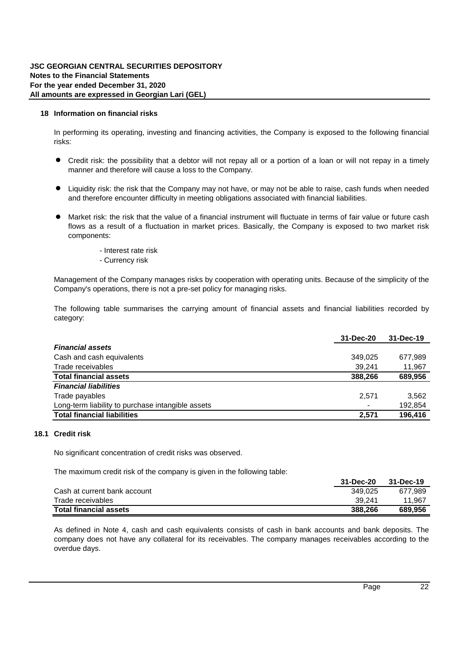## **10 Earnings per share**

Basic earnings per share are calculated by dividing the profit or loss attributable to equity holders of the Company by the weighted average number of ordinary shares in issue during the year. The Company owns only ordinary shares.

|    |                                                           | 31-Dec-20 | 31-Dec-19  |
|----|-----------------------------------------------------------|-----------|------------|
|    | Net income attributable to common stockholders            | 30,565    | (283, 036) |
|    | Profit/(loss) for the year                                | 30,565    | (283, 036) |
|    | Weighted average number of shares                         | 598,910   | 421,800    |
|    | <b>Basic</b>                                              | 0.05      | (0.67)     |
|    | 11 Commission, subscription and other operating income    | 2020      | 2019       |
|    | Income from custodian service                             | 402,520   | 113,119    |
|    | Commission income                                         | 35,221    | 28,509     |
|    | Custodian and brokerage membership fee                    | 5,324     | 3,916      |
|    | Other operating income                                    | 12,001    | 14,012     |
|    | Total commission, subscription and other operating income | 455,066   | 159,556    |
|    | 12 Other operating expense                                | 2020      | 2019       |
|    | Software support                                          | 35,802    |            |
|    | Insurance expenses                                        | 5,483     | 4,794      |
|    | <b>Bank commissions</b>                                   | 2,391     | 2,345      |
|    | Utility expenses                                          | 2,269     | 3,665      |
|    | Cleaning and service expenses                             | 1,241     | 1,273      |
|    | Personnel training expenses                               |           | 3,303      |
|    | Business trip expenses                                    |           | 1,719      |
|    | Other expenses                                            | 1,341     | 3,563      |
|    | <b>Total other operating expenses</b>                     | 48,527    | 20,662     |
| 13 | <b>Finance income</b>                                     | 2020      | 2019       |
|    | Finance income from held to maturity financial assets     |           | 7,136      |
|    | Interest received from bank deposits                      | 3,391     | 3,457      |
|    | <b>Total finance income</b>                               | 3,391     | 10,593     |
|    | 14 Salary expenses                                        | 2020      | 2019       |
|    | Salary                                                    | 361,361   | 341,473    |
|    | Premium                                                   |           | 25,380     |
|    | Pension expense                                           | 6,919     | 6,982      |
|    | <b>Total salary expenses</b>                              | 368,280   | 373,835    |
|    |                                                           |           |            |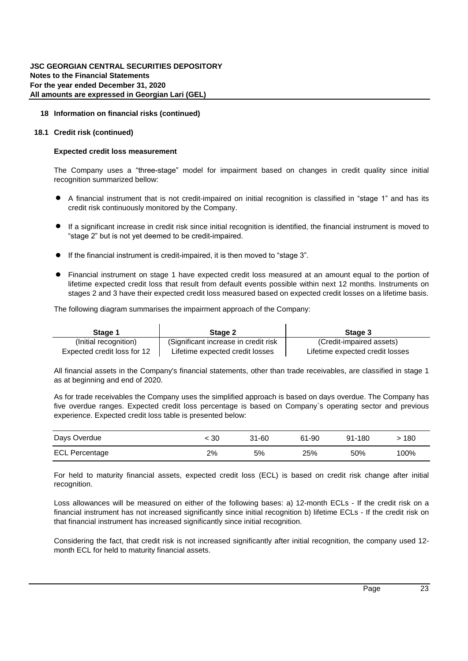## **15 Net foreign exchange gain / (loss)**

|                                    | Cash and<br>cash<br>equivalents | Trade payables       | <b>Conversion</b>                          | Long-term<br>liability to<br>purchase<br>intangible<br>assets | Total        |
|------------------------------------|---------------------------------|----------------------|--------------------------------------------|---------------------------------------------------------------|--------------|
| Foreign exchange gain              | 134,328                         | 280                  | 445                                        | 39,829                                                        | 174,882      |
| Foreign exchange loss              | (70, 893)                       | (838)                | (409)                                      | (59,935)                                                      | (132, 075)   |
| Net foreign exchange gain/loss for | 63,435                          | (558)                | 36                                         | (20, 106)                                                     | 42,807       |
|                                    | Cash and<br>cash<br>equivalents | Trade<br>receivables | Held to<br>maturity<br>financial<br>assets | Long-term<br>liability to<br>purchase<br>intangible<br>assets | <b>Total</b> |
| Foreign exchange gain              | 19,240                          | 7,780                | 5,666                                      |                                                               | 32,686       |
| Foreign exchange loss              | (25, 184)                       | (1)                  | (3, 426)                                   | (33,147)                                                      | (61, 758)    |
| Net foreign exchange gain/loss for | (5,944)                         | 7,779                | 2,240                                      | (33, 147)                                                     | (29, 072)    |

## **16 Financial assets impairment reserve (expense) / recovery**

|                             | Held to<br>maturity<br>financial<br>assets | Trade<br>receivables | <b>Total</b> |
|-----------------------------|--------------------------------------------|----------------------|--------------|
| At 31 December 2018         | (7, 125)                                   | (1,705)              | (8,830)      |
| Recovery of impaired assets | 7.125                                      |                      | 7,125        |
| At 31 December 2019         |                                            | (1,705)              | (1,705)      |
| At 31 December 2020         |                                            | (1,705)              | (1,705)      |

## **17 Contingent liabilities**

## **17.1 Taxation contingencies**

The taxation system in Georgia is relatively new and is characterised by frequent changes in legislation, official pronouncements and court decisions, which are sometimes unclear, contradictory and subject to varying interpretation. In the event of a breach of tax legislation, no liabilities for additional taxes, fines or penalties may be imposed by the tax authorities after three years have passed since the end of the year in which the breach occurred.

These circumstances may create tax risks in Georgia that are more significant than in other countries. Management believes that it has provided adequately for tax liabilities based on its interpretations of applicable Georgian tax legislation, official pronouncements and court decisions. However, the interpretations of the relevant authorities could differ and the effect on these financial statements, if the authorities were successful in enforcing their interpretations, could be significant.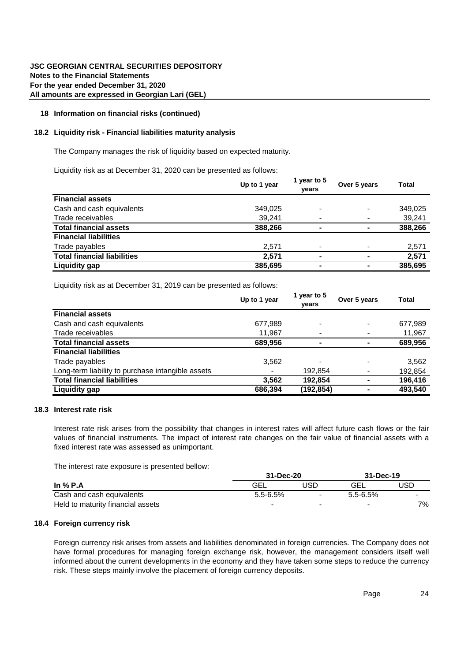## **18 Information on financial risks**

In performing its operating, investing and financing activities, the Company is exposed to the following financial risks:

- Credit risk: the possibility that a debtor will not repay all or a portion of a loan or will not repay in a timely manner and therefore will cause a loss to the Company.
- l Liquidity risk: the risk that the Company may not have, or may not be able to raise, cash funds when needed and therefore encounter difficulty in meeting obligations associated with financial liabilities.
- l Market risk: the risk that the value of a financial instrument will fluctuate in terms of fair value or future cash flows as a result of a fluctuation in market prices. Basically, the Company is exposed to two market risk components:
	- Interest rate risk
	- Currency risk

Management of the Company manages risks by cooperation with operating units. Because of the simplicity of the Company's operations, there is not a pre-set policy for managing risks.

The following table summarises the carrying amount of financial assets and financial liabilities recorded by category:

|                                                   | 31-Dec-20      | 31-Dec-19 |
|---------------------------------------------------|----------------|-----------|
| <b>Financial assets</b>                           |                |           |
| Cash and cash equivalents                         | 349.025        | 677,989   |
| Trade receivables                                 | 39.241         | 11,967    |
| <b>Total financial assets</b>                     | 388,266        | 689,956   |
| <b>Financial liabilities</b>                      |                |           |
| Trade payables                                    | 2,571          | 3,562     |
| Long-term liability to purchase intangible assets | $\blacksquare$ | 192,854   |
| <b>Total financial liabilities</b>                | 2.571          | 196,416   |

#### **18.1 Credit risk**

No significant concentration of credit risks was observed.

The maximum credit risk of the Company is given in the following table:

|                               | 31-Dec-20 | 31-Dec-19 |
|-------------------------------|-----------|-----------|
| Cash at current bank account  | 349.025   | 677.989   |
| Trade receivables             | 39.241    | 11.967    |
| <b>Total financial assets</b> | 388,266   | 689.956   |

As defined in Note 4, cash and cash equivalents consists of cash in bank accounts and bank deposits. The Company does not have any collateral for its receivables. The Company manages receivables according to the overdue days.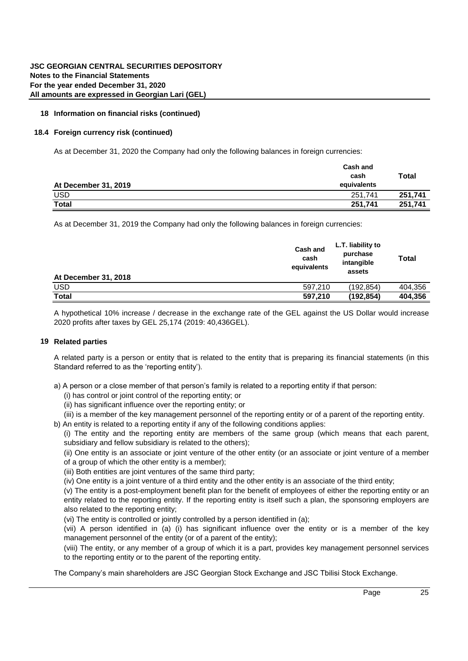## **18 Information on financial risks (continued)**

## **18.1 Credit risk (continued)**

## **Expected credit loss measurement**

The Company uses a "three-stage" model for impairment based on changes in credit quality since initial recognition summarized bellow:

- l A financial instrument that is not credit-impaired on initial recognition is classified in "stage 1" and has its credit risk continuously monitored by the Company.
- l If a significant increase in credit risk since initial recognition is identified, the financial instrument is moved to "stage 2" but is not yet deemed to be credit-impaired.
- $\bullet$  If the financial instrument is credit-impaired, it is then moved to "stage 3".
- Financial instrument on stage 1 have expected credit loss measured at an amount equal to the portion of lifetime expected credit loss that result from default events possible within next 12 months. Instruments on stages 2 and 3 have their expected credit loss measured based on expected credit losses on a lifetime basis.

The following diagram summarises the impairment approach of the Company:

| Stage 1                     | Stage 2                               | Stage 3                         |
|-----------------------------|---------------------------------------|---------------------------------|
| (Initial recognition)       | (Significant increase in credit risk) | (Credit-impaired assets)        |
| Expected credit loss for 12 | Lifetime expected credit losses       | Lifetime expected credit losses |

All financial assets in the Company's financial statements, other than trade receivables, are classified in stage 1 as at beginning and end of 2020.

As for trade receivables the Company uses the simplified approach is based on days overdue. The Company has five overdue ranges. Expected credit loss percentage is based on Company`s operating sector and previous experience. Expected credit loss table is presented below:

| Days Overdue          | 30 | 31-60 | 61-90 | 91-180 | 180  |
|-----------------------|----|-------|-------|--------|------|
| <b>ECL Percentage</b> | 2% | 5%    | 25%   | 50%    | 100% |

For held to maturity financial assets, expected credit loss (ECL) is based on credit risk change after initial recognition.

Loss allowances will be measured on either of the following bases: a) 12-month ECLs - If the credit risk on a financial instrument has not increased significantly since initial recognition b) lifetime ECLs - If the credit risk on that financial instrument has increased significantly since initial recognition.

Considering the fact, that credit risk is not increased significantly after initial recognition, the Company used 12 month ECL for held to maturity financial assets.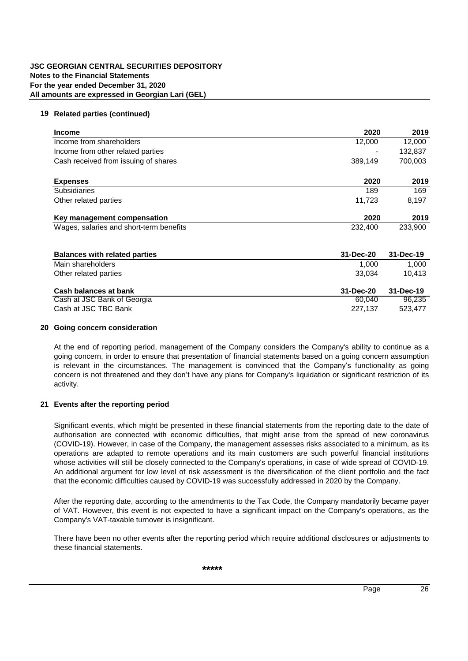## **18 Information on financial risks (continued)**

## **18.2 Liquidity risk - Financial liabilities maturity analysis**

The Company manages the risk of liquidity based on expected maturity.

Liquidity risk as at December 31, 2020 can be presented as follows:

|                                    | Up to 1 year | 1 year to 5<br>vears | Over 5 years             | Total   |
|------------------------------------|--------------|----------------------|--------------------------|---------|
| <b>Financial assets</b>            |              |                      |                          |         |
| Cash and cash equivalents          | 349,025      |                      |                          | 349,025 |
| Trade receivables                  | 39,241       |                      | $\overline{\phantom{0}}$ | 39,241  |
| <b>Total financial assets</b>      | 388,266      |                      | $\blacksquare$           | 388,266 |
| <b>Financial liabilities</b>       |              |                      |                          |         |
| Trade payables                     | 2,571        |                      |                          | 2,571   |
| <b>Total financial liabilities</b> | 2.571        | -                    |                          | 2,571   |
| Liquidity gap                      | 385,695      | -                    | -                        | 385,695 |

Liquidity risk as at December 31, 2019 can be presented as follows:

|                                                   | Up to 1 year | 1 year to 5<br>vears | Over 5 years   | <b>Total</b> |
|---------------------------------------------------|--------------|----------------------|----------------|--------------|
| <b>Financial assets</b>                           |              |                      |                |              |
| Cash and cash equivalents                         | 677,989      |                      | $\blacksquare$ | 677,989      |
| Trade receivables                                 | 11,967       |                      |                | 11,967       |
| <b>Total financial assets</b>                     | 689,956      |                      | ۰              | 689,956      |
| <b>Financial liabilities</b>                      |              |                      |                |              |
| Trade payables                                    | 3,562        |                      |                | 3,562        |
| Long-term liability to purchase intangible assets |              | 192,854              |                | 192,854      |
| <b>Total financial liabilities</b>                | 3,562        | 192,854              |                | 196,416      |
| <b>Liquidity gap</b>                              | 686,394      | (192,854)            |                | 493,540      |

## **18.3 Interest rate risk**

Interest rate risk arises from the possibility that changes in interest rates will affect future cash flows or the fair values of financial instruments. The impact of interest rate changes on the fair value of financial assets with a fixed interest rate was assessed as unimportant.

The interest rate exposure is presented bellow:

|                                   |                          | 31-Dec-20 |                          | 31-Dec-19                |
|-----------------------------------|--------------------------|-----------|--------------------------|--------------------------|
| In $%$ P.A                        | <b>GEL</b>               | JSD       | GEL                      | USD                      |
| Cash and cash equivalents         | $5.5 - 6.5%$             | $\sim$    | $5.5 - 6.5%$             | $\overline{\phantom{a}}$ |
| Held to maturity financial assets | $\overline{\phantom{a}}$ |           | $\overline{\phantom{a}}$ | 7%                       |

## **18.4 Foreign currency risk**

Foreign currency risk arises from assets and liabilities denominated in foreign currencies. The Company does not have formal procedures for managing foreign exchange risk, however, the management considers itself well informed about the current developments in the economy and they have taken some steps to reduce the currency risk. These steps mainly involve the placement of foreign currency deposits.